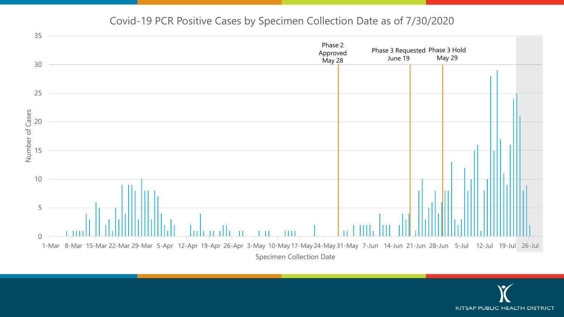#### Covid-19 PCR Positive Cases by Specimen Collection Date as of 7/30/2020



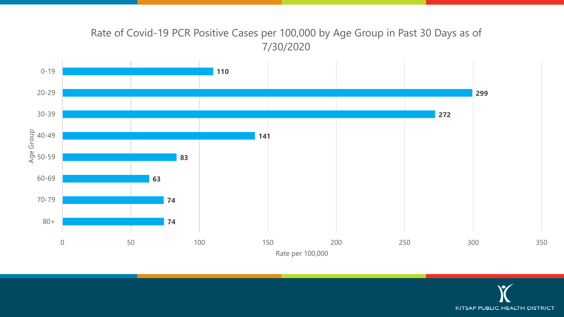# Rate of Covid-19 PCR Positive Cases per 100,000 by Age Group in Past 30 Days as of 7/30/2020



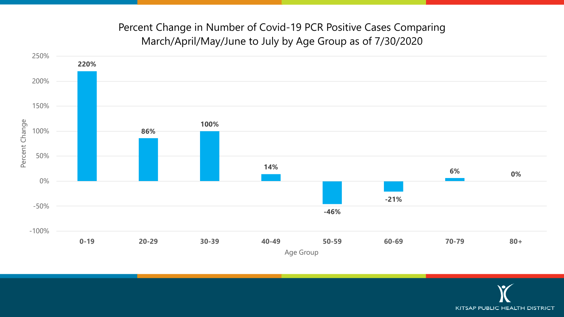## Percent Change in Number of Covid-19 PCR Positive Cases Comparing March/April/May/June to July by Age Group as of 7/30/2020



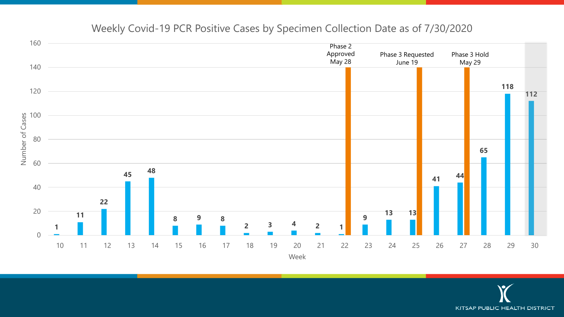

#### Weekly Covid-19 PCR Positive Cases by Specimen Collection Date as of 7/30/2020

**KITSAP PUBLIC HEALTH DISTRICT**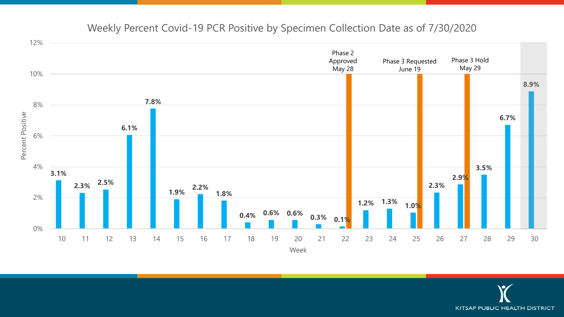

#### Weekly Percent Covid-19 PCR Positive by Specimen Collection Date as of 7/30/2020

**KITSAP PUBLIC HEALTH DISTRICT**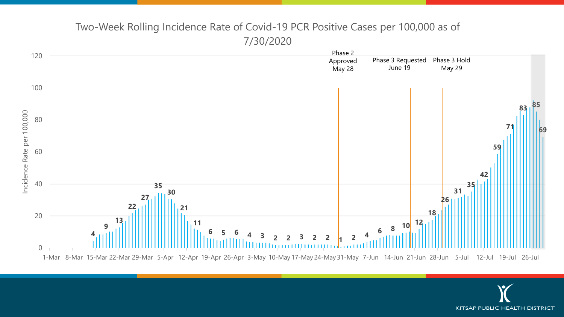

## Two-Week Rolling Incidence Rate of Covid-19 PCR Positive Cases per 100,000 as of 7/30/2020

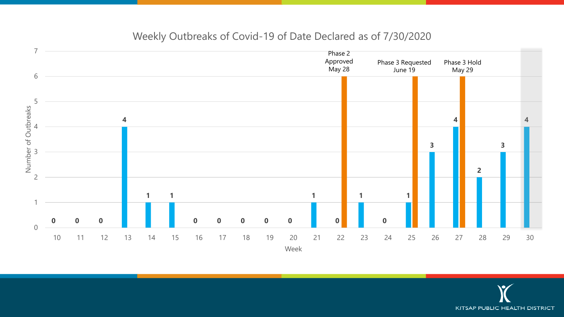

#### Weekly Outbreaks of Covid-19 of Date Declared as of 7/30/2020

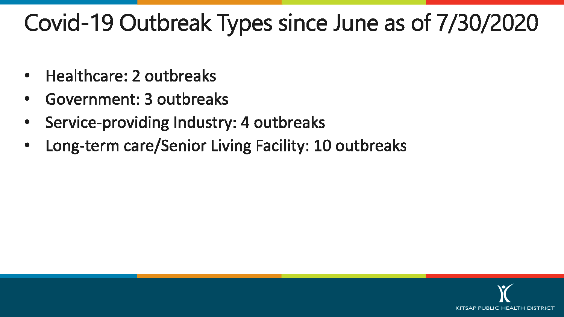# Covid-19 Outbreak Types since June as of 7/30/2020

- Healthcare: 2 outbreaks  $\bullet$
- Government: 3 outbreaks  $\bullet$
- Service-providing Industry: 4 outbreaks  $\bullet$
- Long-term care/Senior Living Facility: 10 outbreaks

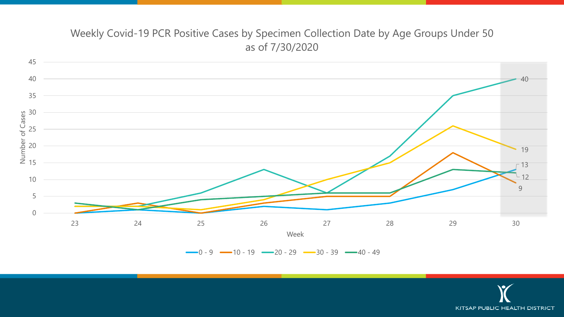### Weekly Covid-19 PCR Positive Cases by Specimen Collection Date by Age Groups Under 50 as of 7/30/2020